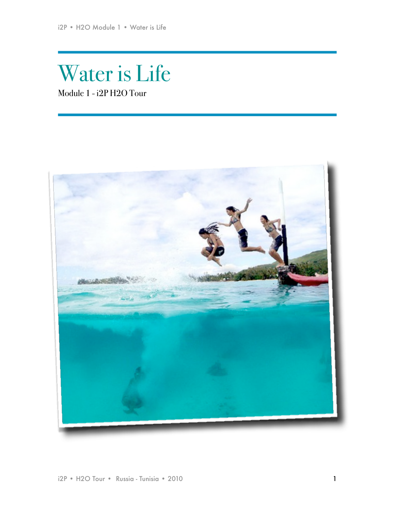# Water is Life Module 1 - i2P H2O Tour

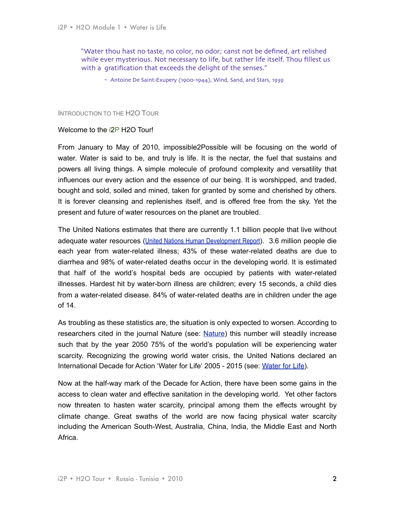"Water thou hast no taste, no color, no odor; canst not be defined, art relished while ever mysterious. Not necessary to life, but rather life itself. Thou fillest us with a gratification that exceeds the delight of the senses."

- Antoine De Saint-Exupery (1900-1944), Wind, Sand, and Stars, 1939

#### INTRODUCTION TO THE H2O TOUR

#### Welcome to the i2P H2O Tour!

From January to May of 2010, impossible2Possible will be focusing on the world of water. Water is said to be, and truly is life. It is the nectar, the fuel that sustains and powers all living things. A simple molecule of profound complexity and versatility that influences our every action and the essence of our being. It is worshipped, and traded, bought and sold, soiled and mined, taken for granted by some and cherished by others. It is forever cleansing and replenishes itself, and is offered free from the sky. Yet the present and future of water resources on the planet are troubled.

The United Nations estimates that there are currently 1.1 billion people that live without adequate water resources ([United Nations Human Development Report](http://hdr.undp.org/hdr2006/pdfs/report/HDR06-complete.pdf)). 3.6 million people die each year from water-related illness; 43% of these water-related deaths are due to diarrhea and 98% of water-related deaths occur in the developing world. It is estimated that half of the world's hospital beds are occupied by patients with water-related illnesses. Hardest hit by water-born illness are children; every 15 seconds, a child dies from a water-related disease. 84% of water-related deaths are in children under the age of 14.

As troubling as these statistics are, the situation is only expected to worsen. According to researchers cited in the journal [Nature](http://news.mongabay.com/2008/0402-water.html) (see: Nature) this number will steadily increase such that by the year 2050 75% of the world's population will be experiencing water scarcity. Recognizing the growing world water crisis, the United Nations declared an International Decade for Action 'Water for Life' 2005 - 2015 (see: [Water for Life\)](http://www.un.org/waterforlifedecade/index.html).

Now at the half-way mark of the Decade for Action, there have been some gains in the access to clean water and effective sanitation in the developing world. Yet other factors now threaten to hasten water scarcity, principal among them the effects wrought by climate change. Great swaths of the world are now facing physical water scarcity including the American South-West, Australia, China, India, the Middle East and North Africa.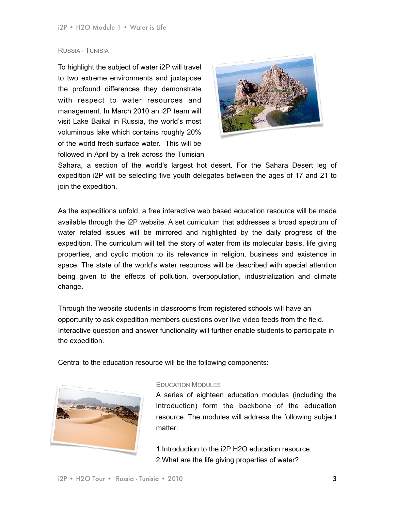## RUSSIA - TUNISIA

To highlight the subject of water i2P will travel to two extreme environments and juxtapose the profound differences they demonstrate with respect to water resources and management. In March 2010 an i2P team will visit Lake Baikal in Russia, the world's most voluminous lake which contains roughly 20% of the world fresh surface water. This will be followed in April by a trek across the Tunisian



Sahara, a section of the world's largest hot desert. For the Sahara Desert leg of expedition i2P will be selecting five youth delegates between the ages of 17 and 21 to join the expedition.

As the expeditions unfold, a free interactive web based education resource will be made available through the i2P website. A set curriculum that addresses a broad spectrum of water related issues will be mirrored and highlighted by the daily progress of the expedition. The curriculum will tell the story of water from its molecular basis, life giving properties, and cyclic motion to its relevance in religion, business and existence in space. The state of the world's water resources will be described with special attention being given to the effects of pollution, overpopulation, industrialization and climate change.

Through the website students in classrooms from registered schools will have an opportunity to ask expedition members questions over live video feeds from the field. Interactive question and answer functionality will further enable students to participate in the expedition.

Central to the education resource will be the following components:



#### EDUCATION MODULES

A series of eighteen education modules (including the introduction) form the backbone of the education resource. The modules will address the following subject matter:

1.Introduction to the i2P H2O education resource. 2.What are the life giving properties of water?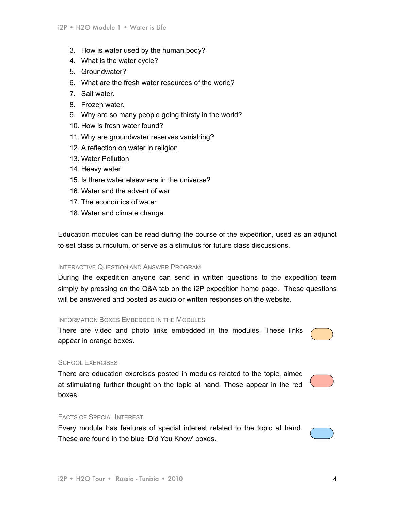- 3. How is water used by the human body?
- 4. What is the water cycle?
- 5. Groundwater?
- 6. What are the fresh water resources of the world?
- 7. Salt water.
- 8. Frozen water.
- 9. Why are so many people going thirsty in the world?
- 10. How is fresh water found?
- 11. Why are groundwater reserves vanishing?
- 12. A reflection on water in religion
- 13. Water Pollution
- 14. Heavy water
- 15. Is there water elsewhere in the universe?
- 16. Water and the advent of war
- 17. The economics of water
- 18. Water and climate change.

Education modules can be read during the course of the expedition, used as an adjunct to set class curriculum, or serve as a stimulus for future class discussions.

### INTERACTIVE QUESTION AND ANSWER PROGRAM

During the expedition anyone can send in written questions to the expedition team simply by pressing on the Q&A tab on the i2P expedition home page. These questions will be answered and posted as audio or written responses on the website.

#### INFORMATION BOXES EMBEDDED IN THE MODULES

There are video and photo links embedded in the modules. These links appear in orange boxes.

#### SCHOOL EXERCISES

There are education exercises posted in modules related to the topic, aimed at stimulating further thought on the topic at hand. These appear in the red boxes.

#### FACTS OF SPECIAL INTEREST

Every module has features of special interest related to the topic at hand. These are found in the blue 'Did You Know' boxes.